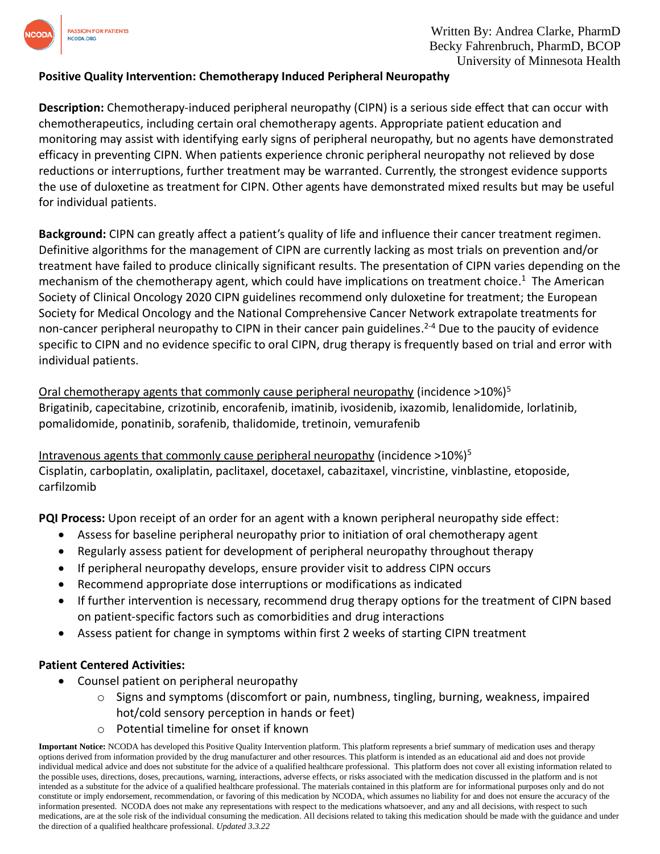

### **Positive Quality Intervention: Chemotherapy Induced Peripheral Neuropathy**

**Description:** Chemotherapy-induced peripheral neuropathy (CIPN) is a serious side effect that can occur with chemotherapeutics, including certain oral chemotherapy agents. Appropriate patient education and monitoring may assist with identifying early signs of peripheral neuropathy, but no agents have demonstrated efficacy in preventing CIPN. When patients experience chronic peripheral neuropathy not relieved by dose reductions or interruptions, further treatment may be warranted. Currently, the strongest evidence supports the use of duloxetine as treatment for CIPN. Other agents have demonstrated mixed results but may be useful for individual patients.

**Background:** CIPN can greatly affect a patient's quality of life and influence their cancer treatment regimen. Definitive algorithms for the management of CIPN are currently lacking as most trials on prevention and/or treatment have failed to produce clinically significant results. The presentation of CIPN varies depending on the mechanism of the chemotherapy agent, which could have implications on treatment choice. <sup>1</sup> The American Society of Clinical Oncology 2020 CIPN guidelines recommend only duloxetine for treatment; the European Society for Medical Oncology and the National Comprehensive Cancer Network extrapolate treatments for non-cancer peripheral neuropathy to CIPN in their cancer pain guidelines.<sup>2-4</sup> Due to the paucity of evidence specific to CIPN and no evidence specific to oral CIPN, drug therapy is frequently based on trial and error with individual patients.

Oral chemotherapy agents that commonly cause peripheral neuropathy (incidence >10%)<sup>5</sup> Brigatinib, capecitabine, crizotinib, encorafenib, imatinib, ivosidenib, ixazomib, lenalidomide, lorlatinib, pomalidomide, ponatinib, sorafenib, thalidomide, tretinoin, vemurafenib

Intravenous agents that commonly cause peripheral neuropathy (incidence  $>10\%$ )<sup>5</sup> Cisplatin, carboplatin, oxaliplatin, paclitaxel, docetaxel, cabazitaxel, vincristine, vinblastine, etoposide, carfilzomib

**PQI Process:** Upon receipt of an order for an agent with a known peripheral neuropathy side effect:

- Assess for baseline peripheral neuropathy prior to initiation of oral chemotherapy agent
- Regularly assess patient for development of peripheral neuropathy throughout therapy
- If peripheral neuropathy develops, ensure provider visit to address CIPN occurs
- Recommend appropriate dose interruptions or modifications as indicated
- If further intervention is necessary, recommend drug therapy options for the treatment of CIPN based on patient-specific factors such as comorbidities and drug interactions
- Assess patient for change in symptoms within first 2 weeks of starting CIPN treatment

#### **Patient Centered Activities:**

- Counsel patient on peripheral neuropathy
	- $\circ$  Signs and symptoms (discomfort or pain, numbness, tingling, burning, weakness, impaired hot/cold sensory perception in hands or feet)
	- o Potential timeline for onset if known

**Important Notice:** NCODA has developed this Positive Quality Intervention platform. This platform represents a brief summary of medication uses and therapy options derived from information provided by the drug manufacturer and other resources. This platform is intended as an educational aid and does not provide individual medical advice and does not substitute for the advice of a qualified healthcare professional. This platform does not cover all existing information related to the possible uses, directions, doses, precautions, warning, interactions, adverse effects, or risks associated with the medication discussed in the platform and is not intended as a substitute for the advice of a qualified healthcare professional. The materials contained in this platform are for informational purposes only and do not constitute or imply endorsement, recommendation, or favoring of this medication by NCODA, which assumes no liability for and does not ensure the accuracy of the information presented. NCODA does not make any representations with respect to the medications whatsoever, and any and all decisions, with respect to such medications, are at the sole risk of the individual consuming the medication. All decisions related to taking this medication should be made with the guidance and under the direction of a qualified healthcare professional. *Updated 3.3.22*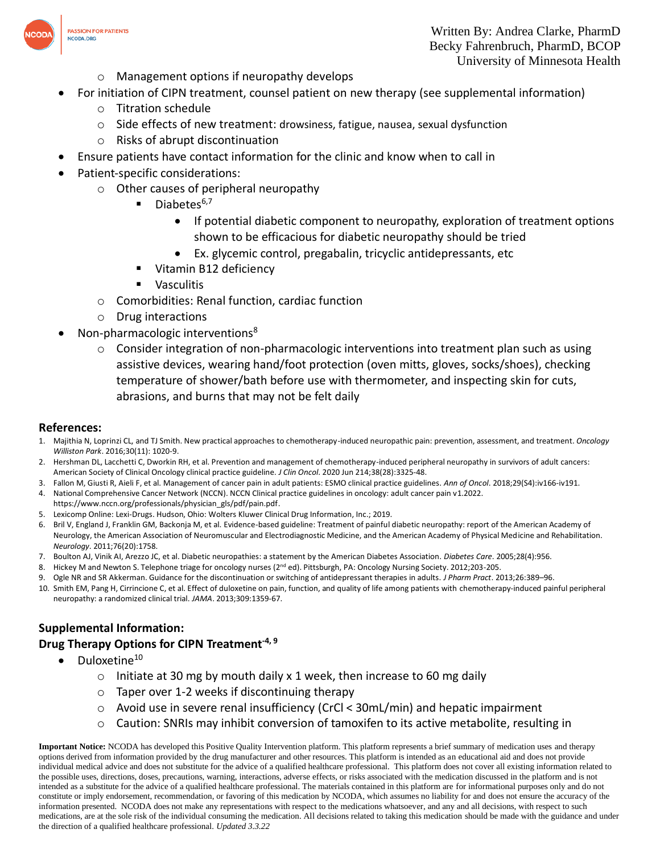

- o Management options if neuropathy develops
- For initiation of CIPN treatment, counsel patient on new therapy (see supplemental information)
	- o Titration schedule
	- o Side effects of new treatment: drowsiness, fatigue, nausea, sexual dysfunction
	- o Risks of abrupt discontinuation
- Ensure patients have contact information for the clinic and know when to call in
- Patient-specific considerations:
	- o Other causes of peripheral neuropathy
		- $\blacksquare$  Diabetes<sup>6,7</sup>
			- If potential diabetic component to neuropathy, exploration of treatment options shown to be efficacious for diabetic neuropathy should be tried
			- Ex. glycemic control, pregabalin, tricyclic antidepressants, etc
		- Vitamin B12 deficiency
		- Vasculitis
	- o Comorbidities: Renal function, cardiac function
	- o Drug interactions
- Non-pharmacologic interventions<sup>8</sup>
	- $\circ$  Consider integration of non-pharmacologic interventions into treatment plan such as using assistive devices, wearing hand/foot protection (oven mitts, gloves, socks/shoes), checking temperature of shower/bath before use with thermometer, and inspecting skin for cuts, abrasions, and burns that may not be felt daily

#### **References:**

- 1. Majithia N, Loprinzi CL, and TJ Smith. New practical approaches to chemotherapy-induced neuropathic pain: prevention, assessment, and treatment. *Oncology Williston Park*. 2016;30(11): 1020-9.
- 2. Hershman DL, Lacchetti C, Dworkin RH, et al. Prevention and management of chemotherapy-induced peripheral neuropathy in survivors of adult cancers: American Society of Clinical Oncology clinical practice guideline*. J Clin Oncol*. 2020 Jun 214;38(28):3325-48.
- 3. Fallon M, Giusti R, Aieli F, et al. Management of cancer pain in adult patients: ESMO clinical practice guidelines. *Ann of Oncol*. 2018;29(S4):iv166-iv191.
- 4. National Comprehensive Cancer Network (NCCN). NCCN Clinical practice guidelines in oncology: adult cancer pain v1.2022. https://www.nccn.org/professionals/physician\_gls/pdf/pain.pdf.
- 5. Lexicomp Online: Lexi-Drugs. Hudson, Ohio: Wolters Kluwer Clinical Drug Information, Inc.; 2019.
- 6. Bril V, England J, Franklin GM, Backonja M, et al. Evidence-based guideline: Treatment of painful diabetic neuropathy: report of the American Academy of Neurology, the American Association of Neuromuscular and Electrodiagnostic Medicine, and the American Academy of Physical Medicine and Rehabilitation. *Neurology*. 2011;76(20):1758.
- 7. Boulton AJ, Vinik AI, Arezzo JC, et al. Diabetic neuropathies: a statement by the American Diabetes Association. *Diabetes Care*. 2005;28(4):956.
- 8. Hickey M and Newton S. Telephone triage for oncology nurses (2<sup>nd</sup> ed). Pittsburgh, PA: Oncology Nursing Society. 2012;203-205.
- 9. Ogle NR and SR Akkerman. Guidance for the discontinuation or switching of antidepressant therapies in adults. *J Pharm Pract*. 2013;26:389–96.
- 10. Smith EM, Pang H, Cirrincione C, et al. Effect of duloxetine on pain, function, and quality of life among patients with chemotherapy-induced painful peripheral neuropathy: a randomized clinical trial. *JAMA*. 2013;309:1359-67.

# **Supplemental Information:**

## **Drug Therapy Options for CIPN Treatment-4, 9**

- $\bullet$  Duloxetine<sup>10</sup>
	- $\circ$  Initiate at 30 mg by mouth daily x 1 week, then increase to 60 mg daily
	- $\circ$  Taper over 1-2 weeks if discontinuing therapy
	- $\circ$  Avoid use in severe renal insufficiency (CrCl < 30mL/min) and hepatic impairment
	- o Caution: SNRIs may inhibit conversion of tamoxifen to its active metabolite, resulting in

**Important Notice:** NCODA has developed this Positive Quality Intervention platform. This platform represents a brief summary of medication uses and therapy options derived from information provided by the drug manufacturer and other resources. This platform is intended as an educational aid and does not provide individual medical advice and does not substitute for the advice of a qualified healthcare professional. This platform does not cover all existing information related to the possible uses, directions, doses, precautions, warning, interactions, adverse effects, or risks associated with the medication discussed in the platform and is not intended as a substitute for the advice of a qualified healthcare professional. The materials contained in this platform are for informational purposes only and do not constitute or imply endorsement, recommendation, or favoring of this medication by NCODA, which assumes no liability for and does not ensure the accuracy of the information presented. NCODA does not make any representations with respect to the medications whatsoever, and any and all decisions, with respect to such medications, are at the sole risk of the individual consuming the medication. All decisions related to taking this medication should be made with the guidance and under the direction of a qualified healthcare professional. *Updated 3.3.22*





**PASSION FOR PATIENTS** NCODA.ORG